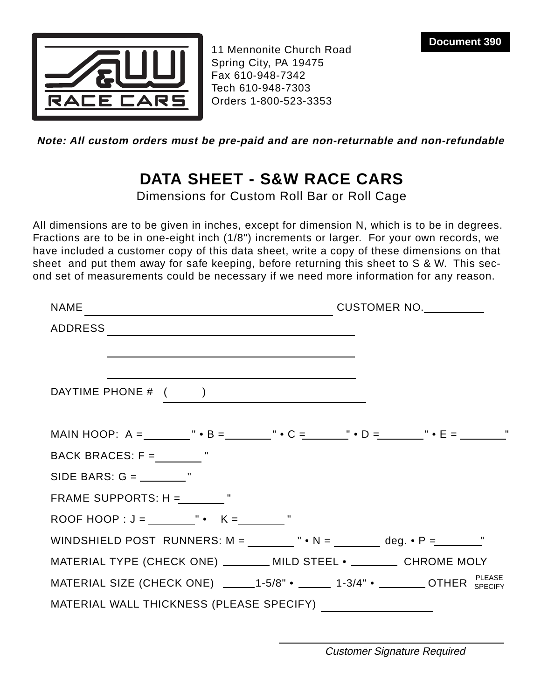

11 Mennonite Church Road Spring City, PA 19475 Fax 610-948-7342 Tech 610-948-7303 Orders 1-800-523-3353

**Note: All custom orders must be pre-paid and are non-returnable and non-refundable**

# **DATA SHEET - S&W RACE CARS**

Dimensions for Custom Roll Bar or Roll Cage

All dimensions are to be given in inches, except for dimension N, which is to be in degrees. Fractions are to be in one-eight inch (1/8") increments or larger. For your own records, we have included a customer copy of this data sheet, write a copy of these dimensions on that sheet and put them away for safe keeping, before returning this sheet to S & W. This second set of measurements could be necessary if we need more information for any reason.

| NAME CUSTOMER NO.                                                                                                                                                                    |  |
|--------------------------------------------------------------------------------------------------------------------------------------------------------------------------------------|--|
|                                                                                                                                                                                      |  |
| and the control of the control of the control of the control of the control of the control of the control of the                                                                     |  |
| DAYTIME PHONE # ( )                                                                                                                                                                  |  |
| MAIN HOOP: A = ________ " • B = _______ " • C = _______ " • D = _______ " • E = ________"                                                                                            |  |
| BACK BRACES: $F =$ $"$                                                                                                                                                               |  |
|                                                                                                                                                                                      |  |
| FRAME SUPPORTS: $H =$ $"$                                                                                                                                                            |  |
|                                                                                                                                                                                      |  |
| WINDSHIELD POST RUNNERS: $M =$ $\begin{array}{ccc} \text{} & \text{} \\ \text{} & \text{} \end{array}$ $N =$ $\begin{array}{ccc} \text{} & \text{} \\ \text{} & \text{} \end{array}$ |  |
| MATERIAL TYPE (CHECK ONE) ________ MILD STEEL • _________ CHROME MOLY                                                                                                                |  |
| MATERIAL SIZE (CHECK ONE) $\qquad \qquad$ 1-5/8" • $\qquad \qquad$ 1-3/4" • $\qquad \qquad$ OTHER SPECIFY                                                                            |  |
| MATERIAL WALL THICKNESS (PLEASE SPECIFY) ___________________                                                                                                                         |  |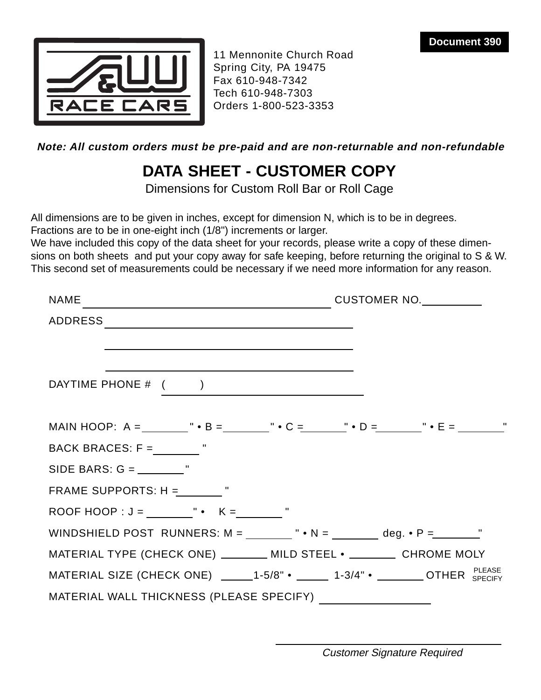

11 Mennonite Church Road Spring City, PA 19475 Fax 610-948-7342 Tech 610-948-7303 Orders 1-800-523-3353

**Note: All custom orders must be pre-paid and are non-returnable and non-refundable**

# **DATA SHEET - CUSTOMER COPY**

Dimensions for Custom Roll Bar or Roll Cage

All dimensions are to be given in inches, except for dimension N, which is to be in degrees. Fractions are to be in one-eight inch (1/8") increments or larger.

We have included this copy of the data sheet for your records, please write a copy of these dimensions on both sheets and put your copy away for safe keeping, before returning the original to S & W. This second set of measurements could be necessary if we need more information for any reason.

| <b>NAME</b>                                                                                                                                                                                                                                           |  |
|-------------------------------------------------------------------------------------------------------------------------------------------------------------------------------------------------------------------------------------------------------|--|
| ADDRESS                                                                                                                                                                                                                                               |  |
| DAYTIME PHONE # ( )                                                                                                                                                                                                                                   |  |
|                                                                                                                                                                                                                                                       |  |
| MAIN HOOP: A = ________ " • B = _______ " • C = ______ " • D = _______ " • E = ________"                                                                                                                                                              |  |
| BACK BRACES: $F =$ $"$                                                                                                                                                                                                                                |  |
|                                                                                                                                                                                                                                                       |  |
| FRAME SUPPORTS: $H =$ $"$                                                                                                                                                                                                                             |  |
| ROOF HOOP : $J =$ $\begin{matrix} \cdot & \cdot & \cdot \\ \cdot & \cdot & \cdot \end{matrix}$ $K =$ $\begin{matrix} \cdot & \cdot & \cdot \\ \cdot & \cdot & \cdot \end{matrix}$                                                                     |  |
| WINDSHIELD POST RUNNERS: $M =$ $\begin{array}{ccc} \cdot & N = \end{array}$ $\bullet$ $N =$ $\begin{array}{ccc} \cdot & \cdot & \cdot \\ \cdot & \cdot & \cdot \end{array}$ deg. $\bullet$ P = $\begin{array}{ccc} \cdot & \cdot & \cdot \end{array}$ |  |
| MATERIAL TYPE (CHECK ONE) ________ MILD STEEL • _________ CHROME MOLY                                                                                                                                                                                 |  |
| MATERIAL SIZE (CHECK ONE) ______1-5/8" • ______ 1-3/4" • _______ OTHER SPECIFY                                                                                                                                                                        |  |
| MATERIAL WALL THICKNESS (PLEASE SPECIFY) ______________________                                                                                                                                                                                       |  |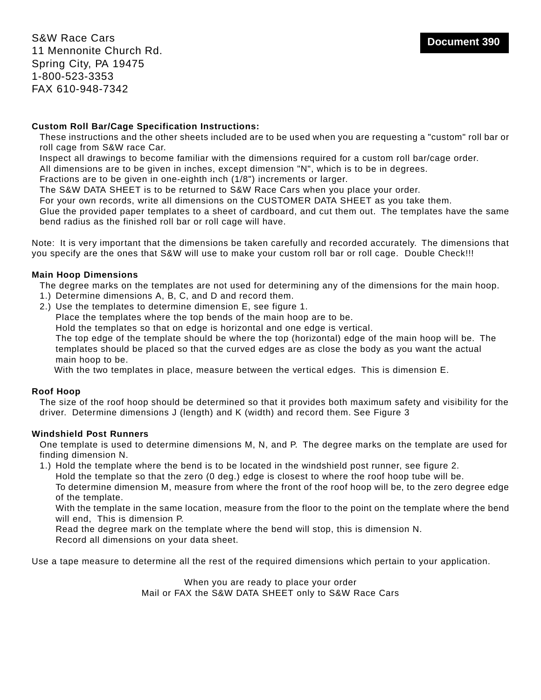**Document 390** S&W Race Cars 11 Mennonite Church Rd. Spring City, PA 19475 1-800-523-3353 FAX 610-948-7342

## **Custom Roll Bar/Cage Specification Instructions:**

These instructions and the other sheets included are to be used when you are requesting a "custom" roll bar or roll cage from S&W race Car.

Inspect all drawings to become familiar with the dimensions required for a custom roll bar/cage order.

All dimensions are to be given in inches, except dimension "N", which is to be in degrees.

Fractions are to be given in one-eighth inch (1/8") increments or larger.

The S&W DATA SHEET is to be returned to S&W Race Cars when you place your order.

For your own records, write all dimensions on the CUSTOMER DATA SHEET as you take them.

Glue the provided paper templates to a sheet of cardboard, and cut them out. The templates have the same bend radius as the finished roll bar or roll cage will have.

Note: It is very important that the dimensions be taken carefully and recorded accurately. The dimensions that you specify are the ones that S&W will use to make your custom roll bar or roll cage. Double Check!!!

### **Main Hoop Dimensions**

The degree marks on the templates are not used for determining any of the dimensions for the main hoop.

- 1.) Determine dimensions A, B, C, and D and record them.
- 2.) Use the templates to determine dimension E, see figure 1.

Place the templates where the top bends of the main hoop are to be.

Hold the templates so that on edge is horizontal and one edge is vertical.

The top edge of the template should be where the top (horizontal) edge of the main hoop will be. The templates should be placed so that the curved edges are as close the body as you want the actual main hoop to be.

With the two templates in place, measure between the vertical edges. This is dimension E.

#### **Roof Hoop**

The size of the roof hoop should be determined so that it provides both maximum safety and visibility for the driver. Determine dimensions J (length) and K (width) and record them. See Figure 3

#### **Windshield Post Runners**

One template is used to determine dimensions M, N, and P. The degree marks on the template are used for finding dimension N.

1.) Hold the template where the bend is to be located in the windshield post runner, see figure 2.

Hold the template so that the zero (0 deg.) edge is closest to where the roof hoop tube will be.

To determine dimension M, measure from where the front of the roof hoop will be, to the zero degree edge of the template.

With the template in the same location, measure from the floor to the point on the template where the bend will end, This is dimension P.

Read the degree mark on the template where the bend will stop, this is dimension N.

Record all dimensions on your data sheet.

Use a tape measure to determine all the rest of the required dimensions which pertain to your application.

When you are ready to place your order Mail or FAX the S&W DATA SHEET only to S&W Race Cars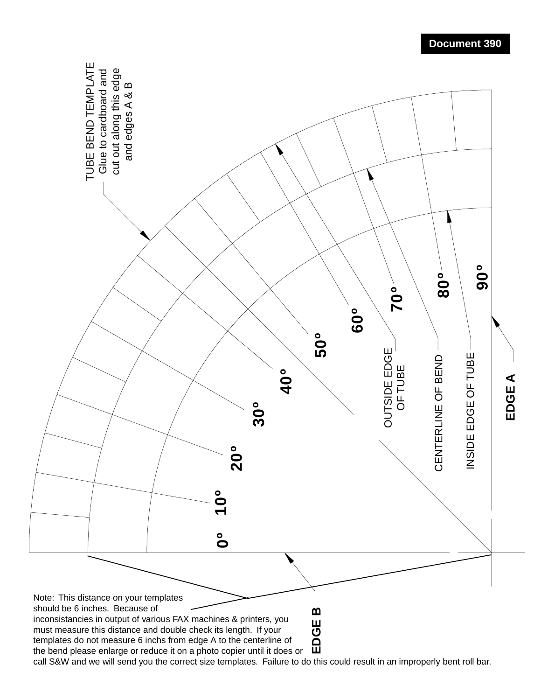

**Document 390**

call S&W and we will send you the correct size templates. Failure to do this could result in an improperly bent roll bar.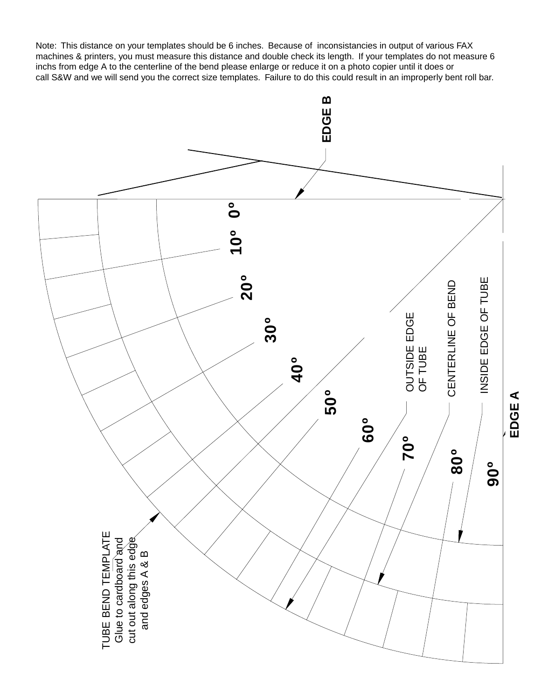Note: This distance on your templates should be 6 inches. Because of inconsistancies in output of various FAX machines & printers, you must measure this distance and double check its length. If your templates do not measure 6 inchs from edge A to the centerline of the bend please enlarge or reduce it on a photo copier until it does or call S&W and we will send you the correct size templates. Failure to do this could result in an improperly bent roll bar.

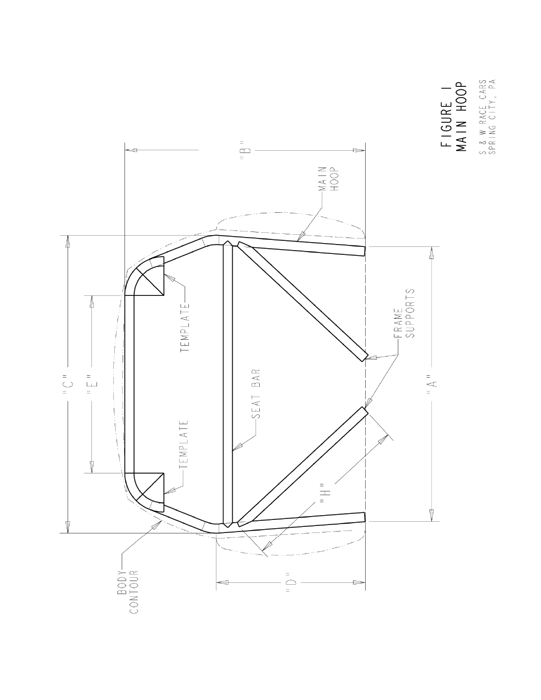

FIGURE I<br>MAIN HOOP S & W RACE CARS<br>SPRING CITY, PA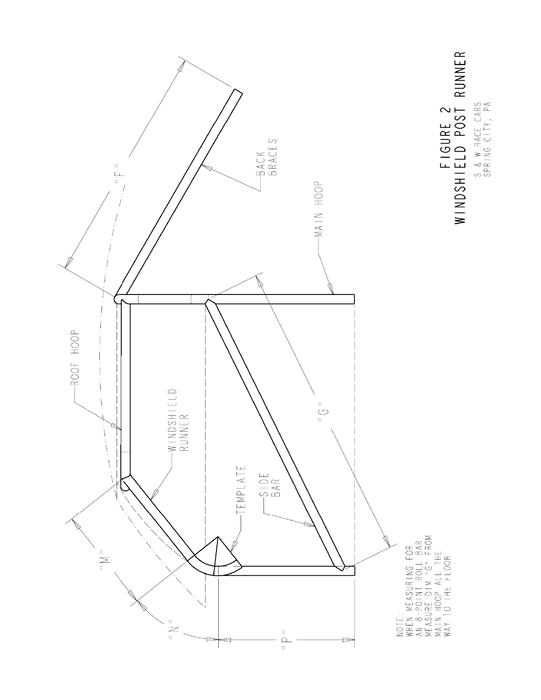